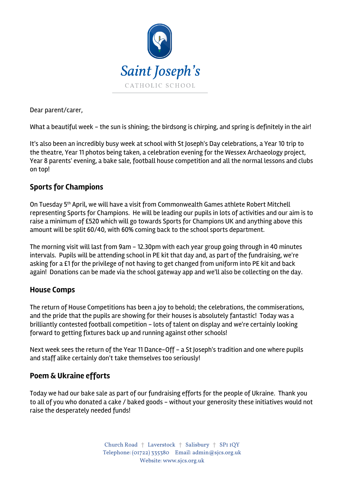

Dear parent/carer,

What a beautiful week - the sun is shining; the birdsong is chirping, and spring is definitely in the air!

It's also been an incredibly busy week at school with St Joseph's Day celebrations, a Year 10 trip to the theatre, Year 11 photos being taken, a celebration evening for the Wessex Archaeology project, Year 8 parents' evening, a bake sale, football house competition and all the normal lessons and clubs on top!

# **Sports for Champions**

On Tuesday 5<sup>th</sup> April, we will have a visit from Commonwealth Games athlete Robert Mitchell representing Sports for Champions. He will be leading our pupils in lots of activities and our aim is to raise a minimum of £520 which will go towards Sports for Champions UK and anything above this amount will be split 60/40, with 60% coming back to the school sports department.

The morning visit will last from 9am - 12.30pm with each year group going through in 40 minutes intervals. Pupils will be attending school in PE kit that day and, as part of the fundraising, we're asking for a £1 for the privilege of not having to get changed from uniform into PE kit and back again! Donations can be made via the school gateway app and we'll also be collecting on the day.

# **House Comps**

The return of House Competitions has been a joy to behold; the celebrations, the commiserations, and the pride that the pupils are showing for their houses is absolutely fantastic! Today was a brilliantly contested football competition - lots of talent on display and we're certainly looking forward to getting fixtures back up and running against other schools!

Next week sees the return of the Year 11 Dance-Off - a St Joseph's tradition and one where pupils and staff alike certainly don't take themselves too seriously!

# **Poem & Ukraine efforts**

Today we had our bake sale as part of our fundraising efforts for the people of Ukraine. Thank you to all of you who donated a cake / baked goods - without your generosity these initiatives would not raise the desperately needed funds!